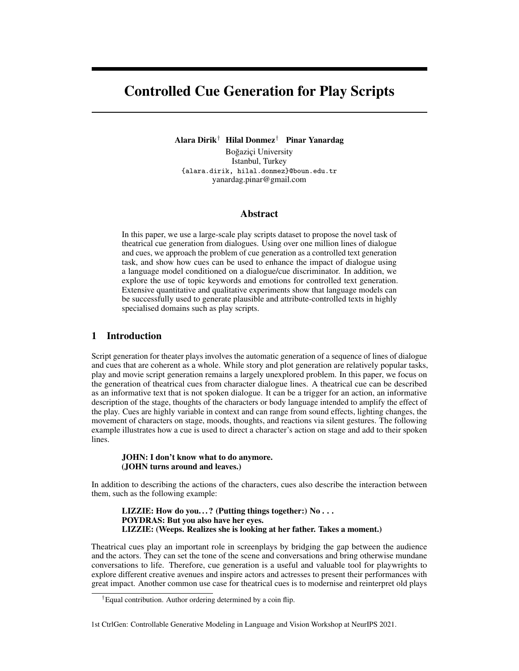# Controlled Cue Generation for Play Scripts

Alara Dirik† Hilal Donmez† Pinar Yanardag

Boğaziçi University Istanbul, Turkey {alara.dirik, hilal.donmez}@boun.edu.tr yanardag.pinar@gmail.com

#### Abstract

In this paper, we use a large-scale play scripts dataset to propose the novel task of theatrical cue generation from dialogues. Using over one million lines of dialogue and cues, we approach the problem of cue generation as a controlled text generation task, and show how cues can be used to enhance the impact of dialogue using a language model conditioned on a dialogue/cue discriminator. In addition, we explore the use of topic keywords and emotions for controlled text generation. Extensive quantitative and qualitative experiments show that language models can be successfully used to generate plausible and attribute-controlled texts in highly specialised domains such as play scripts.

# 1 Introduction

Script generation for theater plays involves the automatic generation of a sequence of lines of dialogue and cues that are coherent as a whole. While story and plot generation are relatively popular tasks, play and movie script generation remains a largely unexplored problem. In this paper, we focus on the generation of theatrical cues from character dialogue lines. A theatrical cue can be described as an informative text that is not spoken dialogue. It can be a trigger for an action, an informative description of the stage, thoughts of the characters or body language intended to amplify the effect of the play. Cues are highly variable in context and can range from sound effects, lighting changes, the movement of characters on stage, moods, thoughts, and reactions via silent gestures. The following example illustrates how a cue is used to direct a character's action on stage and add to their spoken lines.

#### JOHN: I don't know what to do anymore. (JOHN turns around and leaves.)

In addition to describing the actions of the characters, cues also describe the interaction between them, such as the following example:

LIZZIE: How do you...? (Putting things together:)  $No...$ POYDRAS: But you also have her eyes. LIZZIE: (Weeps. Realizes she is looking at her father. Takes a moment.)

Theatrical cues play an important role in screenplays by bridging the gap between the audience and the actors. They can set the tone of the scene and conversations and bring otherwise mundane conversations to life. Therefore, cue generation is a useful and valuable tool for playwrights to explore different creative avenues and inspire actors and actresses to present their performances with great impact. Another common use case for theatrical cues is to modernise and reinterpret old plays

<sup>†</sup>Equal contribution. Author ordering determined by a coin flip.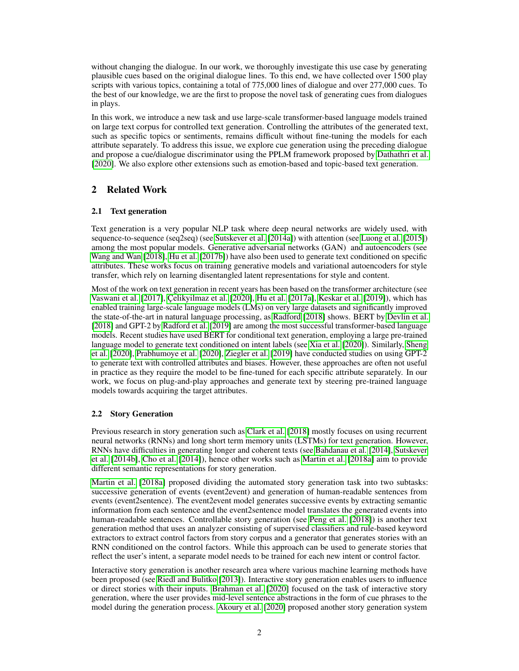without changing the dialogue. In our work, we thoroughly investigate this use case by generating plausible cues based on the original dialogue lines. To this end, we have collected over 1500 play scripts with various topics, containing a total of 775,000 lines of dialogue and over 277,000 cues. To the best of our knowledge, we are the first to propose the novel task of generating cues from dialogues in plays.

In this work, we introduce a new task and use large-scale transformer-based language models trained on large text corpus for controlled text generation. Controlling the attributes of the generated text, such as specific topics or sentiments, remains difficult without fine-tuning the models for each attribute separately. To address this issue, we explore cue generation using the preceding dialogue and propose a cue/dialogue discriminator using the PPLM framework proposed by [Dathathri et al.](#page-8-0) [\[2020\]](#page-8-0). We also explore other extensions such as emotion-based and topic-based text generation.

# 2 Related Work

# 2.1 Text generation

Text generation is a very popular NLP task where deep neural networks are widely used, with sequence-to-sequence (seq2seq) (see [Sutskever et al.](#page-9-0) [\[2014a\]](#page-9-0)) with attention (see [Luong et al.](#page-9-1) [\[2015\]](#page-9-1)) among the most popular models. Generative adversarial networks (GAN) and autoencoders (see [Wang and Wan](#page-9-2) [\[2018\]](#page-9-2), [Hu et al.](#page-8-1) [\[2017b\]](#page-8-1)) have also been used to generate text conditioned on specific attributes. These works focus on training generative models and variational autoencoders for style transfer, which rely on learning disentangled latent representations for style and content.

Most of the work on text generation in recent years has been based on the transformer architecture (see [Vaswani et al.](#page-9-3) [\[2017\]](#page-9-3), [Çelikyilmaz et al.](#page-10-0) [\[2020\]](#page-10-0), [Hu et al.](#page-8-2) [\[2017a\]](#page-8-2), [Keskar et al.](#page-8-3) [\[2019\]](#page-8-3)), which has enabled training large-scale language models (LMs) on very large datasets and significantly improved the state-of-the-art in natural language processing, as [Radford](#page-9-4) [\[2018\]](#page-9-4) shows. BERT by [Devlin et al.](#page-8-4) [\[2018\]](#page-8-4) and GPT-2 by [Radford et al.](#page-9-5) [\[2019\]](#page-9-5) are among the most successful transformer-based language models. Recent studies have used BERT for conditional text generation, employing a large pre-trained language model to generate text conditioned on intent labels (see [Xia et al.](#page-9-6) [\[2020\]](#page-9-6)). Similarly, [Sheng](#page-9-7) [et al.](#page-9-7) [\[2020\]](#page-9-7), [Prabhumoye et al.](#page-9-8) [\[2020\]](#page-9-8), [Ziegler et al.](#page-10-1) [\[2019\]](#page-10-1) have conducted studies on using GPT-2 to generate text with controlled attributes and biases. However, these approaches are often not useful in practice as they require the model to be fine-tuned for each specific attribute separately. In our work, we focus on plug-and-play approaches and generate text by steering pre-trained language models towards acquiring the target attributes.

# 2.2 Story Generation

Previous research in story generation such as [Clark et al.](#page-8-5) [\[2018\]](#page-8-5) mostly focuses on using recurrent neural networks (RNNs) and long short term memory units (LSTMs) for text generation. However, RNNs have difficulties in generating longer and coherent texts (see [Bahdanau et al.](#page-8-6) [\[2014\]](#page-8-6), [Sutskever](#page-9-9) [et al.](#page-9-9) [\[2014b\]](#page-9-9), [Cho et al.](#page-8-7) [\[2014\]](#page-8-7)), hence other works such as [Martin et al.](#page-9-10) [\[2018a\]](#page-9-10) aim to provide different semantic representations for story generation.

[Martin et al.](#page-9-10) [\[2018a\]](#page-9-10) proposed dividing the automated story generation task into two subtasks: successive generation of events (event2event) and generation of human-readable sentences from events (event2sentence). The event2event model generates successive events by extracting semantic information from each sentence and the event2sentence model translates the generated events into human-readable sentences. Controllable story generation (see [Peng et al.](#page-9-11) [\[2018\]](#page-9-11)) is another text generation method that uses an analyzer consisting of supervised classifiers and rule-based keyword extractors to extract control factors from story corpus and a generator that generates stories with an RNN conditioned on the control factors. While this approach can be used to generate stories that reflect the user's intent, a separate model needs to be trained for each new intent or control factor.

Interactive story generation is another research area where various machine learning methods have been proposed (see [Riedl and Bulitko](#page-9-12) [\[2013\]](#page-9-12)). Interactive story generation enables users to influence or direct stories with their inputs. [Brahman et al.](#page-8-8) [\[2020\]](#page-8-8) focused on the task of interactive story generation, where the user provides mid-level sentence abstractions in the form of cue phrases to the model during the generation process. [Akoury et al.](#page-8-9) [\[2020\]](#page-8-9) proposed another story generation system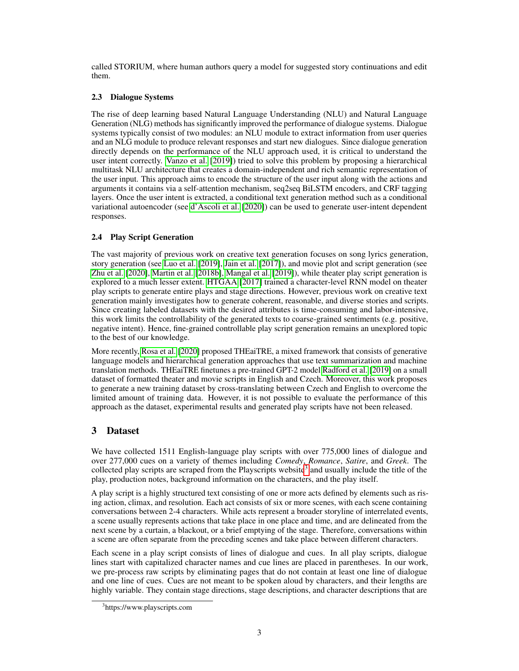called STORIUM, where human authors query a model for suggested story continuations and edit them.

#### 2.3 Dialogue Systems

The rise of deep learning based Natural Language Understanding (NLU) and Natural Language Generation (NLG) methods has significantly improved the performance of dialogue systems. Dialogue systems typically consist of two modules: an NLU module to extract information from user queries and an NLG module to produce relevant responses and start new dialogues. Since dialogue generation directly depends on the performance of the NLU approach used, it is critical to understand the user intent correctly. [Vanzo et al.](#page-9-13) [\[2019\]](#page-9-13)) tried to solve this problem by proposing a hierarchical multitask NLU architecture that creates a domain-independent and rich semantic representation of the user input. This approach aims to encode the structure of the user input along with the actions and arguments it contains via a self-attention mechanism, seq2seq BiLSTM encoders, and CRF tagging layers. Once the user intent is extracted, a conditional text generation method such as a conditional variational autoencoder (see [d'Ascoli et al.](#page-8-10) [\[2020\]](#page-8-10)) can be used to generate user-intent dependent responses.

# 2.4 Play Script Generation

The vast majority of previous work on creative text generation focuses on song lyrics generation, story generation (see [Luo et al.](#page-8-11) [\[2019\]](#page-8-11), [Jain et al.](#page-8-12) [\[2017\]](#page-8-12)), and movie plot and script generation (see [Zhu et al.](#page-10-2) [\[2020\]](#page-10-2), [Martin et al.](#page-9-14) [\[2018b\]](#page-9-14), [Mangal et al.](#page-9-15) [\[2019\]](#page-9-15)), while theater play script generation is explored to a much lesser extent. [HTGAA](#page-8-13) [\[2017\]](#page-8-13) trained a character-level RNN model on theater play scripts to generate entire plays and stage directions. However, previous work on creative text generation mainly investigates how to generate coherent, reasonable, and diverse stories and scripts. Since creating labeled datasets with the desired attributes is time-consuming and labor-intensive, this work limits the controllability of the generated texts to coarse-grained sentiments (e.g. positive, negative intent). Hence, fine-grained controllable play script generation remains an unexplored topic to the best of our knowledge.

More recently, [Rosa et al.](#page-9-16) [\[2020\]](#page-9-16) proposed THEaiTRE, a mixed framework that consists of generative language models and hierarchical generation approaches that use text summarization and machine translation methods. THEaiTRE finetunes a pre-trained GPT-2 model [Radford et al.](#page-9-5) [\[2019\]](#page-9-5) on a small dataset of formatted theater and movie scripts in English and Czech. Moreover, this work proposes to generate a new training dataset by cross-translating between Czech and English to overcome the limited amount of training data. However, it is not possible to evaluate the performance of this approach as the dataset, experimental results and generated play scripts have not been released.

# 3 Dataset

We have collected 1511 English-language play scripts with over 775,000 lines of dialogue and over 277,000 cues on a variety of themes including *Comedy*, *Romance*, *Satire*, and *Greek*. The collected play scripts are scraped from the Playscripts website<sup>[3](#page-2-0)</sup> and usually include the title of the play, production notes, background information on the characters, and the play itself.

A play script is a highly structured text consisting of one or more acts defined by elements such as rising action, climax, and resolution. Each act consists of six or more scenes, with each scene containing conversations between 2-4 characters. While acts represent a broader storyline of interrelated events, a scene usually represents actions that take place in one place and time, and are delineated from the next scene by a curtain, a blackout, or a brief emptying of the stage. Therefore, conversations within a scene are often separate from the preceding scenes and take place between different characters.

Each scene in a play script consists of lines of dialogue and cues. In all play scripts, dialogue lines start with capitalized character names and cue lines are placed in parentheses. In our work, we pre-process raw scripts by eliminating pages that do not contain at least one line of dialogue and one line of cues. Cues are not meant to be spoken aloud by characters, and their lengths are highly variable. They contain stage directions, stage descriptions, and character descriptions that are

<span id="page-2-0"></span><sup>3</sup> https://www.playscripts.com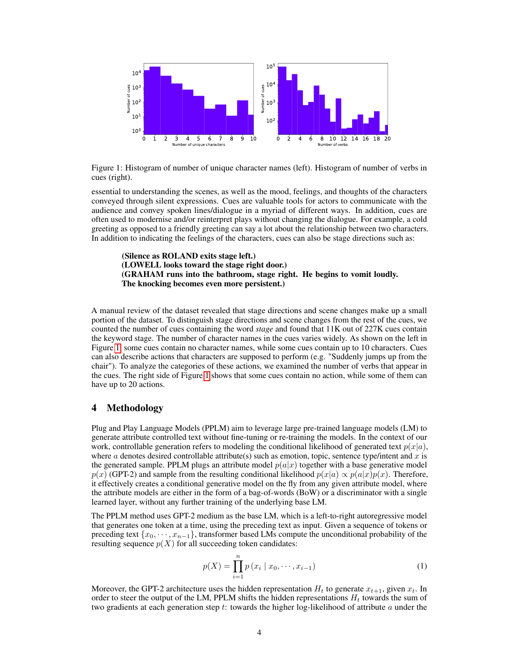

<span id="page-3-0"></span>Figure 1: Histogram of number of unique character names (left). Histogram of number of verbs in cues (right).

essential to understanding the scenes, as well as the mood, feelings, and thoughts of the characters conveyed through silent expressions. Cues are valuable tools for actors to communicate with the audience and convey spoken lines/dialogue in a myriad of different ways. In addition, cues are often used to modernise and/or reinterpret plays without changing the dialogue. For example, a cold greeting as opposed to a friendly greeting can say a lot about the relationship between two characters. In addition to indicating the feelings of the characters, cues can also be stage directions such as:

(Silence as ROLAND exits stage left.) (LOWELL looks toward the stage right door.) (GRAHAM runs into the bathroom, stage right. He begins to vomit loudly. The knocking becomes even more persistent.)

A manual review of the dataset revealed that stage directions and scene changes make up a small portion of the dataset. To distinguish stage directions and scene changes from the rest of the cues, we counted the number of cues containing the word *stage* and found that 11K out of 227K cues contain the keyword stage. The number of character names in the cues varies widely. As shown on the left in Figure [1,](#page-3-0) some cues contain no character names, while some cues contain up to 10 characters. Cues can also describe actions that characters are supposed to perform (e.g. "Suddenly jumps up from the chair"). To analyze the categories of these actions, we examined the number of verbs that appear in the cues. The right side of Figure [1](#page-3-0) shows that some cues contain no action, while some of them can have up to 20 actions.

#### 4 Methodology

Plug and Play Language Models (PPLM) aim to leverage large pre-trained language models (LM) to generate attribute controlled text without fine-tuning or re-training the models. In the context of our work, controllable generation refers to modeling the conditional likelihood of generated text  $p(x|a)$ , where a denotes desired controllable attribute(s) such as emotion, topic, sentence type/intent and x is the generated sample. PPLM plugs an attribute model  $p(a|x)$  together with a base generative model  $p(x)$  (GPT-2) and sample from the resulting conditional likelihood  $p(x|a) \propto p(a|x)p(x)$ . Therefore, it effectively creates a conditional generative model on the fly from any given attribute model, where the attribute models are either in the form of a bag-of-words (BoW) or a discriminator with a single learned layer, without any further training of the underlying base LM.

The PPLM method uses GPT-2 medium as the base LM, which is a left-to-right autoregressive model that generates one token at a time, using the preceding text as input. Given a sequence of tokens or preceding text  $\{x_0, \dots, x_{n-1}\}\$ , transformer based LMs compute the unconditional probability of the resulting sequence  $p(X)$  for all succeeding token candidates:

$$
p(X) = \prod_{i=1}^{n} p(x_i | x_0, \cdots, x_{i-1})
$$
 (1)

Moreover, the GPT-2 architecture uses the hidden representation  $H_t$  to generate  $x_{t+1}$ , given  $x_t$ . In order to steer the output of the LM, PPLM shifts the hidden representations  $H_t$  towards the sum of two gradients at each generation step t: towards the higher log-likelihood of attribute  $a$  under the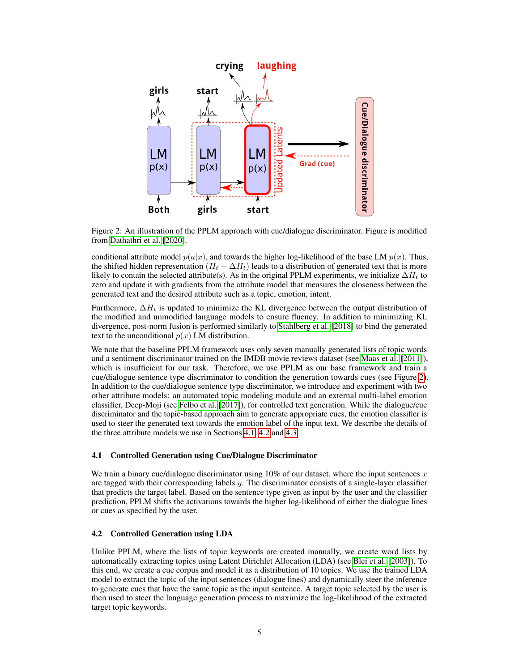

<span id="page-4-0"></span>Figure 2: An illustration of the PPLM approach with cue/dialogue discriminator. Figure is modified from [Dathathri et al.](#page-8-0) [\[2020\]](#page-8-0).

conditional attribute model  $p(a|x)$ , and towards the higher log-likelihood of the base LM  $p(x)$ . Thus, the shifted hidden representation  $(H_t + \Delta H_t)$  leads to a distribution of generated text that is more likely to contain the selected attribute(s). As in the original PPLM experiments, we initialize  $\Delta H_t$  to zero and update it with gradients from the attribute model that measures the closeness between the generated text and the desired attribute such as a topic, emotion, intent.

Furthermore,  $\Delta H_t$  is updated to minimize the KL divergence between the output distribution of the modified and unmodified language models to ensure fluency. In addition to minimizing KL divergence, post-norm fusion is performed similarly to [Stahlberg et al.](#page-9-17) [\[2018\]](#page-9-17) to bind the generated text to the unconditional  $p(x)$  LM distribution.

We note that the baseline PPLM framework uses only seven manually generated lists of topic words and a sentiment discriminator trained on the IMDB movie reviews dataset (see [Maas et al.](#page-9-18) [\[2011\]](#page-9-18)), which is insufficient for our task. Therefore, we use PPLM as our base framework and train a cue/dialogue sentence type discriminator to condition the generation towards cues (see Figure [2\)](#page-4-0). In addition to the cue/dialogue sentence type discriminator, we introduce and experiment with two other attribute models: an automated topic modeling module and an external multi-label emotion classifier, Deep-Moji (see [Felbo et al.](#page-8-14) [\[2017\]](#page-8-14)), for controlled text generation. While the dialogue/cue discriminator and the topic-based approach aim to generate appropriate cues, the emotion classifier is used to steer the generated text towards the emotion label of the input text. We describe the details of the three attribute models we use in Sections [4.1,](#page-4-1) [4.2](#page-4-2) and [4.3.](#page-5-0)

#### <span id="page-4-1"></span>4.1 Controlled Generation using Cue/Dialogue Discriminator

We train a binary cue/dialogue discriminator using  $10\%$  of our dataset, where the input sentences x are tagged with their corresponding labels  $y$ . The discriminator consists of a single-layer classifier that predicts the target label. Based on the sentence type given as input by the user and the classifier prediction, PPLM shifts the activations towards the higher log-likelihood of either the dialogue lines or cues as specified by the user.

#### <span id="page-4-2"></span>4.2 Controlled Generation using LDA

Unlike PPLM, where the lists of topic keywords are created manually, we create word lists by automatically extracting topics using Latent Dirichlet Allocation (LDA) (see [Blei et al.](#page-8-15) [\[2003\]](#page-8-15)). To this end, we create a cue corpus and model it as a distribution of 10 topics. We use the trained LDA model to extract the topic of the input sentences (dialogue lines) and dynamically steer the inference to generate cues that have the same topic as the input sentence. A target topic selected by the user is then used to steer the language generation process to maximize the log-likelihood of the extracted target topic keywords.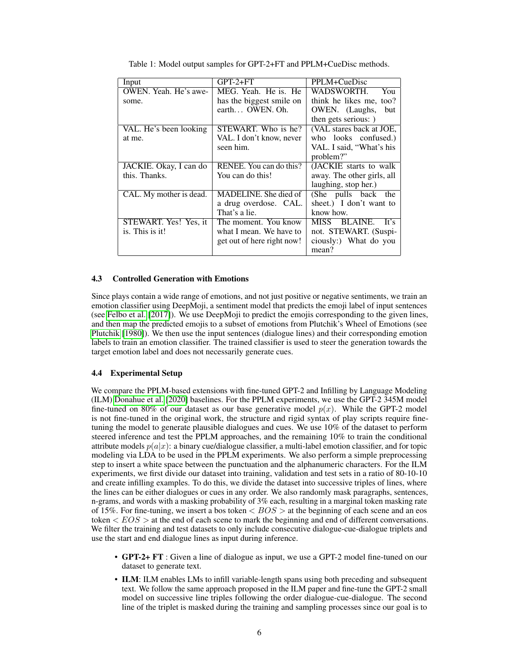|                         | $GPT-2+FT$                 | PPLM+CueDisc               |
|-------------------------|----------------------------|----------------------------|
| Input                   |                            |                            |
| OWEN. Yeah. He's awe-   | MEG. Yeah. He is. He       | WADSWORTH.<br>You          |
| some.                   | has the biggest smile on   | think he likes me, too?    |
|                         | earth OWEN. Oh.            | OWEN. (Laughs,<br>but      |
|                         |                            | then gets serious: )       |
| VAL. He's been looking  | STEWART. Who is he?        | (VAL stares back at JOE,   |
| at me.                  | VAL. I don't know, never   | who looks confused.)       |
|                         | seen him.                  | VAL. I said, "What's his   |
|                         |                            | problem?"                  |
| JACKIE. Okay, I can do  | RENEE. You can do this?    | (JACKIE starts to walk     |
| this. Thanks.           | You can do this!           | away. The other girls, all |
|                         |                            | laughing, stop her.)       |
| CAL. My mother is dead. | MADELINE. She died of      | (She pulls back)<br>the    |
|                         | a drug overdose. CAL.      | sheet.) I don't want to    |
|                         | That's a lie.              | know how.                  |
| STEWART. Yes! Yes, it   | The moment. You know       | BLAINE.<br>MISS.<br>It's   |
| is. This is it!         | what I mean. We have to    | not. STEWART. (Suspi-      |
|                         | get out of here right now! | ciously:) What do you      |
|                         |                            | mean?                      |

<span id="page-5-1"></span>Table 1: Model output samples for GPT-2+FT and PPLM+CueDisc methods.

#### <span id="page-5-0"></span>4.3 Controlled Generation with Emotions

Since plays contain a wide range of emotions, and not just positive or negative sentiments, we train an emotion classifier using DeepMoji, a sentiment model that predicts the emoji label of input sentences (see [Felbo et al.](#page-8-14) [\[2017\]](#page-8-14)). We use DeepMoji to predict the emojis corresponding to the given lines, and then map the predicted emojis to a subset of emotions from Plutchik's Wheel of Emotions (see [Plutchik](#page-9-19) [\[1980\]](#page-9-19)). We then use the input sentences (dialogue lines) and their corresponding emotion labels to train an emotion classifier. The trained classifier is used to steer the generation towards the target emotion label and does not necessarily generate cues.

#### 4.4 Experimental Setup

We compare the PPLM-based extensions with fine-tuned GPT-2 and Infilling by Language Modeling (ILM) [Donahue et al.](#page-8-16) [\[2020\]](#page-8-16) baselines. For the PPLM experiments, we use the GPT-2 345M model fine-tuned on 80% of our dataset as our base generative model  $p(x)$ . While the GPT-2 model is not fine-tuned in the original work, the structure and rigid syntax of play scripts require finetuning the model to generate plausible dialogues and cues. We use 10% of the dataset to perform steered inference and test the PPLM approaches, and the remaining 10% to train the conditional attribute models  $p(a|x)$ : a binary cue/dialogue classifier, a multi-label emotion classifier, and for topic modeling via LDA to be used in the PPLM experiments. We also perform a simple preprocessing step to insert a white space between the punctuation and the alphanumeric characters. For the ILM experiments, we first divide our dataset into training, validation and test sets in a ratio of 80-10-10 and create infilling examples. To do this, we divide the dataset into successive triples of lines, where the lines can be either dialogues or cues in any order. We also randomly mask paragraphs, sentences, n-grams, and words with a masking probability of 3% each, resulting in a marginal token masking rate of 15%. For fine-tuning, we insert a bos token  $\langle BOS \rangle$  at the beginning of each scene and an eos token  $\langle EOS \rangle$  at the end of each scene to mark the beginning and end of different conversations. We filter the training and test datasets to only include consecutive dialogue-cue-dialogue triplets and use the start and end dialogue lines as input during inference.

- GPT-2+ FT : Given a line of dialogue as input, we use a GPT-2 model fine-tuned on our dataset to generate text.
- ILM: ILM enables LMs to infill variable-length spans using both preceding and subsequent text. We follow the same approach proposed in the ILM paper and fine-tune the GPT-2 small model on successive line triples following the order dialogue-cue-dialogue. The second line of the triplet is masked during the training and sampling processes since our goal is to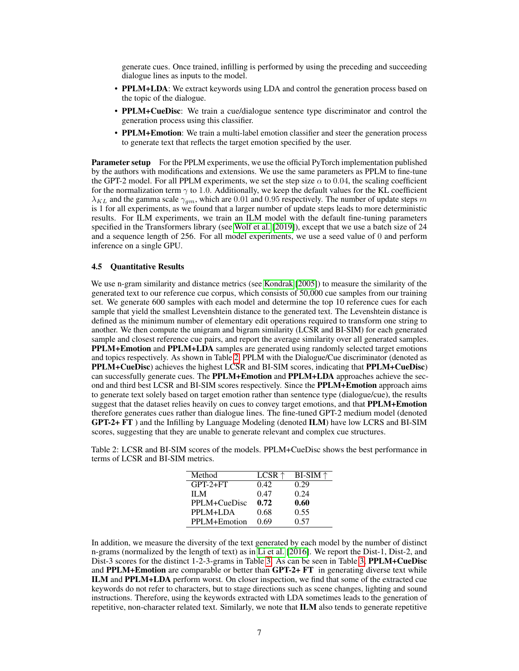generate cues. Once trained, infilling is performed by using the preceding and succeeding dialogue lines as inputs to the model.

- PPLM+LDA: We extract keywords using LDA and control the generation process based on the topic of the dialogue.
- PPLM+CueDisc: We train a cue/dialogue sentence type discriminator and control the generation process using this classifier.
- **PPLM+Emotion**: We train a multi-label emotion classifier and steer the generation process to generate text that reflects the target emotion specified by the user.

**Parameter setup** For the PPLM experiments, we use the official PyTorch implementation published by the authors with modifications and extensions. We use the same parameters as PPLM to fine-tune the GPT-2 model. For all PPLM experiments, we set the step size  $\alpha$  to 0.04, the scaling coefficient for the normalization term  $\gamma$  to 1.0. Additionally, we keep the default values for the KL coefficient  $\lambda_{KL}$  and the gamma scale  $\gamma_{qm}$ , which are 0.01 and 0.95 respectively. The number of update steps m is 1 for all experiments, as we found that a larger number of update steps leads to more deterministic results. For ILM experiments, we train an ILM model with the default fine-tuning parameters specified in the Transformers library (see [Wolf et al.](#page-9-20) [\[2019\]](#page-9-20)), except that we use a batch size of 24 and a sequence length of 256. For all model experiments, we use a seed value of 0 and perform inference on a single GPU.

#### 4.5 Quantitative Results

We use n-gram similarity and distance metrics (see [Kondrak](#page-8-17) [\[2005\]](#page-8-17)) to measure the similarity of the generated text to our reference cue corpus, which consists of 50,000 cue samples from our training set. We generate 600 samples with each model and determine the top 10 reference cues for each sample that yield the smallest Levenshtein distance to the generated text. The Levenshtein distance is defined as the minimum number of elementary edit operations required to transform one string to another. We then compute the unigram and bigram similarity (LCSR and BI-SIM) for each generated sample and closest reference cue pairs, and report the average similarity over all generated samples. PPLM+Emotion and PPLM+LDA samples are generated using randomly selected target emotions and topics respectively. As shown in Table [2,](#page-6-0) PPLM with the Dialogue/Cue discriminator (denoted as PPLM+CueDisc) achieves the highest LCSR and BI-SIM scores, indicating that PPLM+CueDisc) can successfully generate cues. The PPLM+Emotion and PPLM+LDA approaches achieve the second and third best LCSR and BI-SIM scores respectively. Since the PPLM+Emotion approach aims to generate text solely based on target emotion rather than sentence type (dialogue/cue), the results suggest that the dataset relies heavily on cues to convey target emotions, and that **PPLM+Emotion** therefore generates cues rather than dialogue lines. The fine-tuned GPT-2 medium model (denoted GPT-2+ FT ) and the Infilling by Language Modeling (denoted ILM) have low LCRS and BI-SIM scores, suggesting that they are unable to generate relevant and complex cue structures.

<span id="page-6-0"></span>Table 2: LCSR and BI-SIM scores of the models. PPLM+CueDisc shows the best performance in terms of LCSR and BI-SIM metrics.

| Method       | LCSR $\uparrow$ | $BI-SIM \uparrow$ |
|--------------|-----------------|-------------------|
| $GPT-2+FT$   | 0.42            | 0.29              |
| II M         | 0.47            | 0.24              |
| PPLM+CueDisc | 0.72            | 0.60              |
| PPLM+LDA     | 0.68            | 0.55              |
| PPLM+Emotion | 0.69            | 0.57              |

In addition, we measure the diversity of the text generated by each model by the number of distinct n-grams (normalized by the length of text) as in [Li et al.](#page-8-18) [\[2016\]](#page-8-18). We report the Dist-1, Dist-2, and Dist-3 scores for the distinct 1-2-3-grams in Table [3.](#page-7-0) As can be seen in Table [3,](#page-7-0) **PPLM+CueDisc** and PPLM+Emotion are comparable or better than GPT-2+ FT in generating diverse text while ILM and PPLM+LDA perform worst. On closer inspection, we find that some of the extracted cue keywords do not refer to characters, but to stage directions such as scene changes, lighting and sound instructions. Therefore, using the keywords extracted with LDA sometimes leads to the generation of repetitive, non-character related text. Similarly, we note that ILM also tends to generate repetitive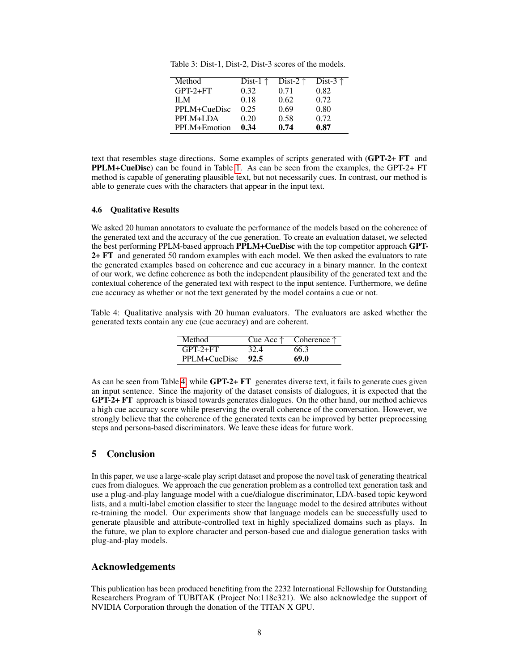<span id="page-7-0"></span>Table 3: Dist-1, Dist-2, Dist-3 scores of the models.

| Method       | Dist-1 $\uparrow$ | Dist-2 $\uparrow$ | Dist-3 $\uparrow$ |
|--------------|-------------------|-------------------|-------------------|
| $GPT-2+FT$   | 0.32              | 0.71              | 0.82              |
| II M         | 0.18              | 0.62              | 0.72              |
| PPLM+CueDisc | 0.25              | 0.69              | 0.80              |
| PPLM+LDA     | 0.20              | 0.58              | 0.72              |
| PPLM+Emotion | 0.34              | 0.74              | 0.87              |

text that resembles stage directions. Some examples of scripts generated with (GPT-2+ FT and PPLM+CueDisc) can be found in Table [1.](#page-5-1) As can be seen from the examples, the GPT-2+ FT method is capable of generating plausible text, but not necessarily cues. In contrast, our method is able to generate cues with the characters that appear in the input text.

#### 4.6 Qualitative Results

We asked 20 human annotators to evaluate the performance of the models based on the coherence of the generated text and the accuracy of the cue generation. To create an evaluation dataset, we selected the best performing PPLM-based approach PPLM+CueDisc with the top competitor approach GPT-2+ FT and generated 50 random examples with each model. We then asked the evaluators to rate the generated examples based on coherence and cue accuracy in a binary manner. In the context of our work, we define coherence as both the independent plausibility of the generated text and the contextual coherence of the generated text with respect to the input sentence. Furthermore, we define cue accuracy as whether or not the text generated by the model contains a cue or not.

<span id="page-7-1"></span>Table 4: Qualitative analysis with 20 human evaluators. The evaluators are asked whether the generated texts contain any cue (cue accuracy) and are coherent.

| Method                | Cue Acc $\uparrow$ | Coherence $\uparrow$ |
|-----------------------|--------------------|----------------------|
| $GPT-2+FT$            | 32.4               | 66.3                 |
| $PPLM + CueDisc$ 92.5 |                    | 69.0                 |

As can be seen from Table [4,](#page-7-1) while GPT-2+ FT generates diverse text, it fails to generate cues given an input sentence. Since the majority of the dataset consists of dialogues, it is expected that the GPT-2+ FT approach is biased towards generates dialogues. On the other hand, our method achieves a high cue accuracy score while preserving the overall coherence of the conversation. However, we strongly believe that the coherence of the generated texts can be improved by better preprocessing steps and persona-based discriminators. We leave these ideas for future work.

# 5 Conclusion

In this paper, we use a large-scale play script dataset and propose the novel task of generating theatrical cues from dialogues. We approach the cue generation problem as a controlled text generation task and use a plug-and-play language model with a cue/dialogue discriminator, LDA-based topic keyword lists, and a multi-label emotion classifier to steer the language model to the desired attributes without re-training the model. Our experiments show that language models can be successfully used to generate plausible and attribute-controlled text in highly specialized domains such as plays. In the future, we plan to explore character and person-based cue and dialogue generation tasks with plug-and-play models.

#### Acknowledgements

This publication has been produced benefiting from the 2232 International Fellowship for Outstanding Researchers Program of TUBITAK (Project No:118c321). We also acknowledge the support of NVIDIA Corporation through the donation of the TITAN X GPU.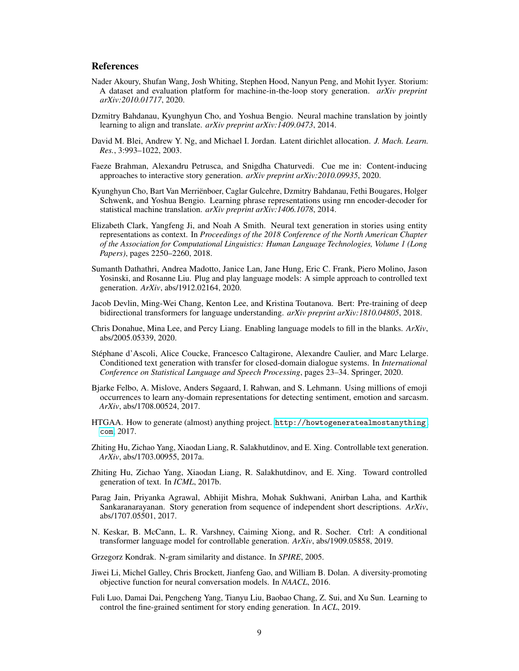#### References

- <span id="page-8-9"></span>Nader Akoury, Shufan Wang, Josh Whiting, Stephen Hood, Nanyun Peng, and Mohit Iyyer. Storium: A dataset and evaluation platform for machine-in-the-loop story generation. *arXiv preprint arXiv:2010.01717*, 2020.
- <span id="page-8-6"></span>Dzmitry Bahdanau, Kyunghyun Cho, and Yoshua Bengio. Neural machine translation by jointly learning to align and translate. *arXiv preprint arXiv:1409.0473*, 2014.
- <span id="page-8-15"></span>David M. Blei, Andrew Y. Ng, and Michael I. Jordan. Latent dirichlet allocation. *J. Mach. Learn. Res.*, 3:993–1022, 2003.
- <span id="page-8-8"></span>Faeze Brahman, Alexandru Petrusca, and Snigdha Chaturvedi. Cue me in: Content-inducing approaches to interactive story generation. *arXiv preprint arXiv:2010.09935*, 2020.
- <span id="page-8-7"></span>Kyunghyun Cho, Bart Van Merriënboer, Caglar Gulcehre, Dzmitry Bahdanau, Fethi Bougares, Holger Schwenk, and Yoshua Bengio. Learning phrase representations using rnn encoder-decoder for statistical machine translation. *arXiv preprint arXiv:1406.1078*, 2014.
- <span id="page-8-5"></span>Elizabeth Clark, Yangfeng Ji, and Noah A Smith. Neural text generation in stories using entity representations as context. In *Proceedings of the 2018 Conference of the North American Chapter of the Association for Computational Linguistics: Human Language Technologies, Volume 1 (Long Papers)*, pages 2250–2260, 2018.
- <span id="page-8-0"></span>Sumanth Dathathri, Andrea Madotto, Janice Lan, Jane Hung, Eric C. Frank, Piero Molino, Jason Yosinski, and Rosanne Liu. Plug and play language models: A simple approach to controlled text generation. *ArXiv*, abs/1912.02164, 2020.
- <span id="page-8-4"></span>Jacob Devlin, Ming-Wei Chang, Kenton Lee, and Kristina Toutanova. Bert: Pre-training of deep bidirectional transformers for language understanding. *arXiv preprint arXiv:1810.04805*, 2018.
- <span id="page-8-16"></span>Chris Donahue, Mina Lee, and Percy Liang. Enabling language models to fill in the blanks. *ArXiv*, abs/2005.05339, 2020.
- <span id="page-8-10"></span>Stéphane d'Ascoli, Alice Coucke, Francesco Caltagirone, Alexandre Caulier, and Marc Lelarge. Conditioned text generation with transfer for closed-domain dialogue systems. In *International Conference on Statistical Language and Speech Processing*, pages 23–34. Springer, 2020.
- <span id="page-8-14"></span>Bjarke Felbo, A. Mislove, Anders Søgaard, I. Rahwan, and S. Lehmann. Using millions of emoji occurrences to learn any-domain representations for detecting sentiment, emotion and sarcasm. *ArXiv*, abs/1708.00524, 2017.
- <span id="page-8-13"></span>HTGAA. How to generate (almost) anything project. [http://howtogeneratealmostanything.](http://howtogeneratealmostanything.com) [com](http://howtogeneratealmostanything.com), 2017.
- <span id="page-8-2"></span>Zhiting Hu, Zichao Yang, Xiaodan Liang, R. Salakhutdinov, and E. Xing. Controllable text generation. *ArXiv*, abs/1703.00955, 2017a.
- <span id="page-8-1"></span>Zhiting Hu, Zichao Yang, Xiaodan Liang, R. Salakhutdinov, and E. Xing. Toward controlled generation of text. In *ICML*, 2017b.
- <span id="page-8-12"></span>Parag Jain, Priyanka Agrawal, Abhijit Mishra, Mohak Sukhwani, Anirban Laha, and Karthik Sankaranarayanan. Story generation from sequence of independent short descriptions. *ArXiv*, abs/1707.05501, 2017.
- <span id="page-8-3"></span>N. Keskar, B. McCann, L. R. Varshney, Caiming Xiong, and R. Socher. Ctrl: A conditional transformer language model for controllable generation. *ArXiv*, abs/1909.05858, 2019.

<span id="page-8-17"></span>Grzegorz Kondrak. N-gram similarity and distance. In *SPIRE*, 2005.

- <span id="page-8-18"></span>Jiwei Li, Michel Galley, Chris Brockett, Jianfeng Gao, and William B. Dolan. A diversity-promoting objective function for neural conversation models. In *NAACL*, 2016.
- <span id="page-8-11"></span>Fuli Luo, Damai Dai, Pengcheng Yang, Tianyu Liu, Baobao Chang, Z. Sui, and Xu Sun. Learning to control the fine-grained sentiment for story ending generation. In *ACL*, 2019.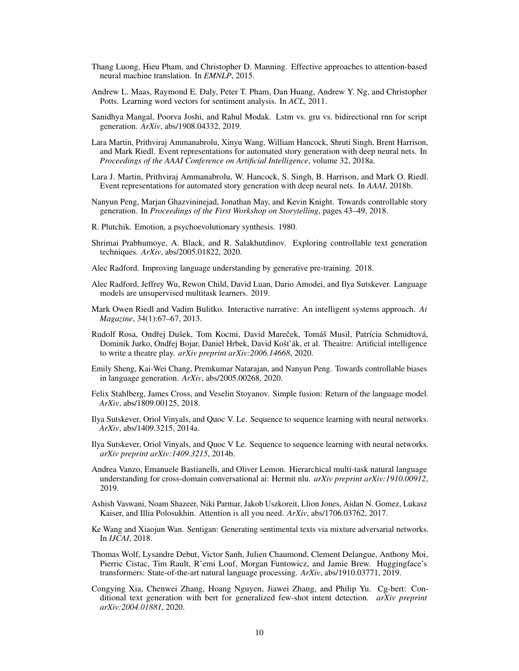- <span id="page-9-1"></span>Thang Luong, Hieu Pham, and Christopher D. Manning. Effective approaches to attention-based neural machine translation. In *EMNLP*, 2015.
- <span id="page-9-18"></span>Andrew L. Maas, Raymond E. Daly, Peter T. Pham, Dan Huang, Andrew Y. Ng, and Christopher Potts. Learning word vectors for sentiment analysis. In *ACL*, 2011.
- <span id="page-9-15"></span>Sanidhya Mangal, Poorva Joshi, and Rahul Modak. Lstm vs. gru vs. bidirectional rnn for script generation. *ArXiv*, abs/1908.04332, 2019.
- <span id="page-9-10"></span>Lara Martin, Prithviraj Ammanabrolu, Xinyu Wang, William Hancock, Shruti Singh, Brent Harrison, and Mark Riedl. Event representations for automated story generation with deep neural nets. In *Proceedings of the AAAI Conference on Artificial Intelligence*, volume 32, 2018a.
- <span id="page-9-14"></span>Lara J. Martin, Prithviraj Ammanabrolu, W. Hancock, S. Singh, B. Harrison, and Mark O. Riedl. Event representations for automated story generation with deep neural nets. In *AAAI*, 2018b.
- <span id="page-9-11"></span>Nanyun Peng, Marjan Ghazvininejad, Jonathan May, and Kevin Knight. Towards controllable story generation. In *Proceedings of the First Workshop on Storytelling*, pages 43–49, 2018.
- <span id="page-9-19"></span>R. Plutchik. Emotion, a psychoevolutionary synthesis. 1980.
- <span id="page-9-8"></span>Shrimai Prabhumoye, A. Black, and R. Salakhutdinov. Exploring controllable text generation techniques. *ArXiv*, abs/2005.01822, 2020.
- <span id="page-9-4"></span>Alec Radford. Improving language understanding by generative pre-training. 2018.
- <span id="page-9-5"></span>Alec Radford, Jeffrey Wu, Rewon Child, David Luan, Dario Amodei, and Ilya Sutskever. Language models are unsupervised multitask learners. 2019.
- <span id="page-9-12"></span>Mark Owen Riedl and Vadim Bulitko. Interactive narrative: An intelligent systems approach. *Ai Magazine*, 34(1):67–67, 2013.
- <span id="page-9-16"></span>Rudolf Rosa, Ondřej Dušek, Tom Kocmi, David Mareček, Tomáš Musil, Patrícia Schmidtová, Dominik Jurko, Ondřej Bojar, Daniel Hrbek, David Košťák, et al. Theaitre: Artificial intelligence to write a theatre play. *arXiv preprint arXiv:2006.14668*, 2020.
- <span id="page-9-7"></span>Emily Sheng, Kai-Wei Chang, Premkumar Natarajan, and Nanyun Peng. Towards controllable biases in language generation. *ArXiv*, abs/2005.00268, 2020.
- <span id="page-9-17"></span>Felix Stahlberg, James Cross, and Veselin Stoyanov. Simple fusion: Return of the language model. *ArXiv*, abs/1809.00125, 2018.
- <span id="page-9-0"></span>Ilya Sutskever, Oriol Vinyals, and Quoc V. Le. Sequence to sequence learning with neural networks. *ArXiv*, abs/1409.3215, 2014a.
- <span id="page-9-9"></span>Ilya Sutskever, Oriol Vinyals, and Quoc V Le. Sequence to sequence learning with neural networks. *arXiv preprint arXiv:1409.3215*, 2014b.
- <span id="page-9-13"></span>Andrea Vanzo, Emanuele Bastianelli, and Oliver Lemon. Hierarchical multi-task natural language understanding for cross-domain conversational ai: Hermit nlu. *arXiv preprint arXiv:1910.00912*, 2019.
- <span id="page-9-3"></span>Ashish Vaswani, Noam Shazeer, Niki Parmar, Jakob Uszkoreit, Llion Jones, Aidan N. Gomez, Lukasz Kaiser, and Illia Polosukhin. Attention is all you need. *ArXiv*, abs/1706.03762, 2017.
- <span id="page-9-2"></span>Ke Wang and Xiaojun Wan. Sentigan: Generating sentimental texts via mixture adversarial networks. In *IJCAI*, 2018.
- <span id="page-9-20"></span>Thomas Wolf, Lysandre Debut, Victor Sanh, Julien Chaumond, Clement Delangue, Anthony Moi, Pierric Cistac, Tim Rault, R'emi Louf, Morgan Funtowicz, and Jamie Brew. Huggingface's transformers: State-of-the-art natural language processing. *ArXiv*, abs/1910.03771, 2019.
- <span id="page-9-6"></span>Congying Xia, Chenwei Zhang, Hoang Nguyen, Jiawei Zhang, and Philip Yu. Cg-bert: Conditional text generation with bert for generalized few-shot intent detection. *arXiv preprint arXiv:2004.01881*, 2020.